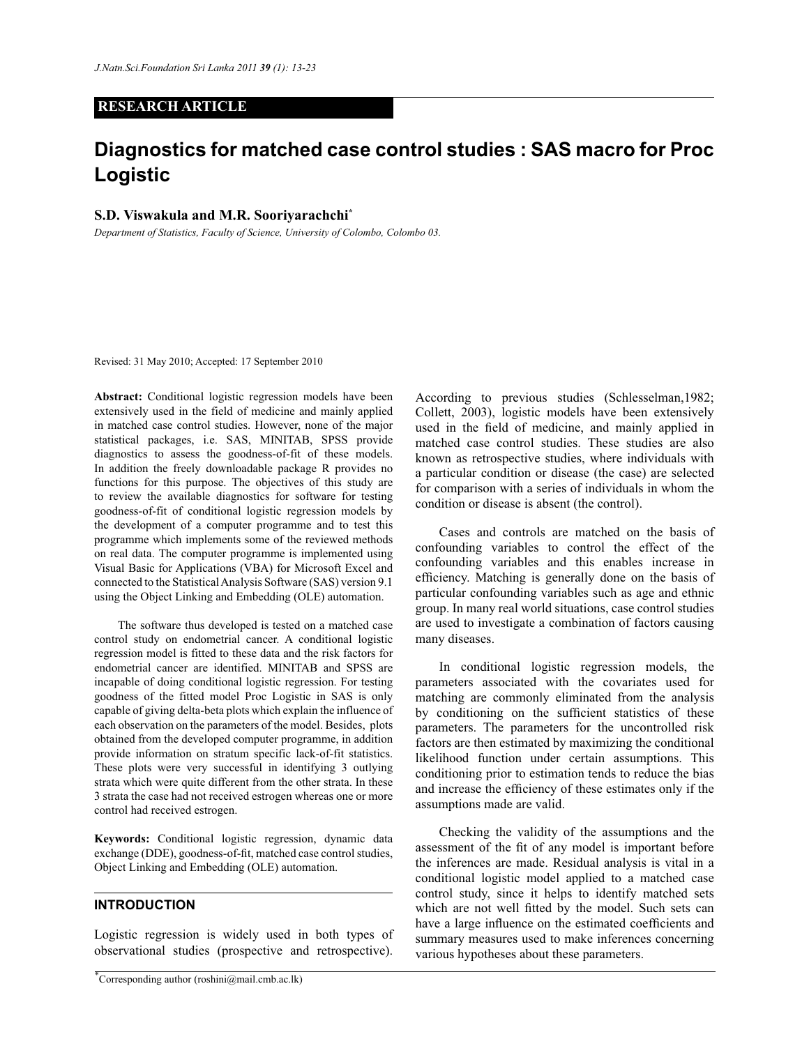# **RESEARCH ARTICLE**

# **Diagnostics for matched case control studies : SAS macro for Proc Logistic**

## **S.D. Viswakula and M.R. Sooriyarachchi\***

*Department of Statistics, Faculty of Science, University of Colombo, Colombo 03.*

Revised: 31 May 2010; Accepted: 17 September 2010

**Abstract:** Conditional logistic regression models have been extensively used in the field of medicine and mainly applied in matched case control studies. However, none of the major statistical packages, i.e. SAS, MINITAB, SPSS provide diagnostics to assess the goodness-of-fit of these models. In addition the freely downloadable package R provides no functions for this purpose. The objectives of this study are to review the available diagnostics for software for testing goodness-of-fit of conditional logistic regression models by the development of a computer programme and to test this programme which implements some of the reviewed methods on real data. The computer programme is implemented using Visual Basic for Applications (VBA) for Microsoft Excel and connected to the Statistical Analysis Software (SAS) version 9.1 using the Object Linking and Embedding (OLE) automation.

 The software thus developed is tested on a matched case control study on endometrial cancer. A conditional logistic regression model is fitted to these data and the risk factors for endometrial cancer are identified. MINITAB and SPSS are incapable of doing conditional logistic regression. For testing goodness of the fitted model Proc Logistic in SAS is only capable of giving delta-beta plots which explain the influence of each observation on the parameters of the model. Besides, plots obtained from the developed computer programme, in addition provide information on stratum specific lack-of-fit statistics. These plots were very successful in identifying 3 outlying strata which were quite different from the other strata. In these 3 strata the case had not received estrogen whereas one or more control had received estrogen.

**Keywords:** Conditional logistic regression, dynamic data exchange (DDE), goodness-of-fit, matched case control studies, Object Linking and Embedding (OLE) automation.

# **INTRODUCTION**

 $\overline{a}$ 

Logistic regression is widely used in both types of observational studies (prospective and retrospective).

According to previous studies (Schlesselman,1982; Collett, 2003), logistic models have been extensively used in the field of medicine, and mainly applied in matched case control studies. These studies are also known as retrospective studies, where individuals with a particular condition or disease (the case) are selected for comparison with a series of individuals in whom the condition or disease is absent (the control).

 Cases and controls are matched on the basis of confounding variables to control the effect of the confounding variables and this enables increase in efficiency. Matching is generally done on the basis of particular confounding variables such as age and ethnic group. In many real world situations, case control studies are used to investigate a combination of factors causing many diseases.

 In conditional logistic regression models, the parameters associated with the covariates used for matching are commonly eliminated from the analysis by conditioning on the sufficient statistics of these parameters. The parameters for the uncontrolled risk factors are then estimated by maximizing the conditional likelihood function under certain assumptions. This conditioning prior to estimation tends to reduce the bias and increase the efficiency of these estimates only if the assumptions made are valid.

 Checking the validity of the assumptions and the assessment of the fit of any model is important before the inferences are made. Residual analysis is vital in a conditional logistic model applied to a matched case control study, since it helps to identify matched sets which are not well fitted by the model. Such sets can have a large influence on the estimated coefficients and summary measures used to make inferences concerning various hypotheses about these parameters.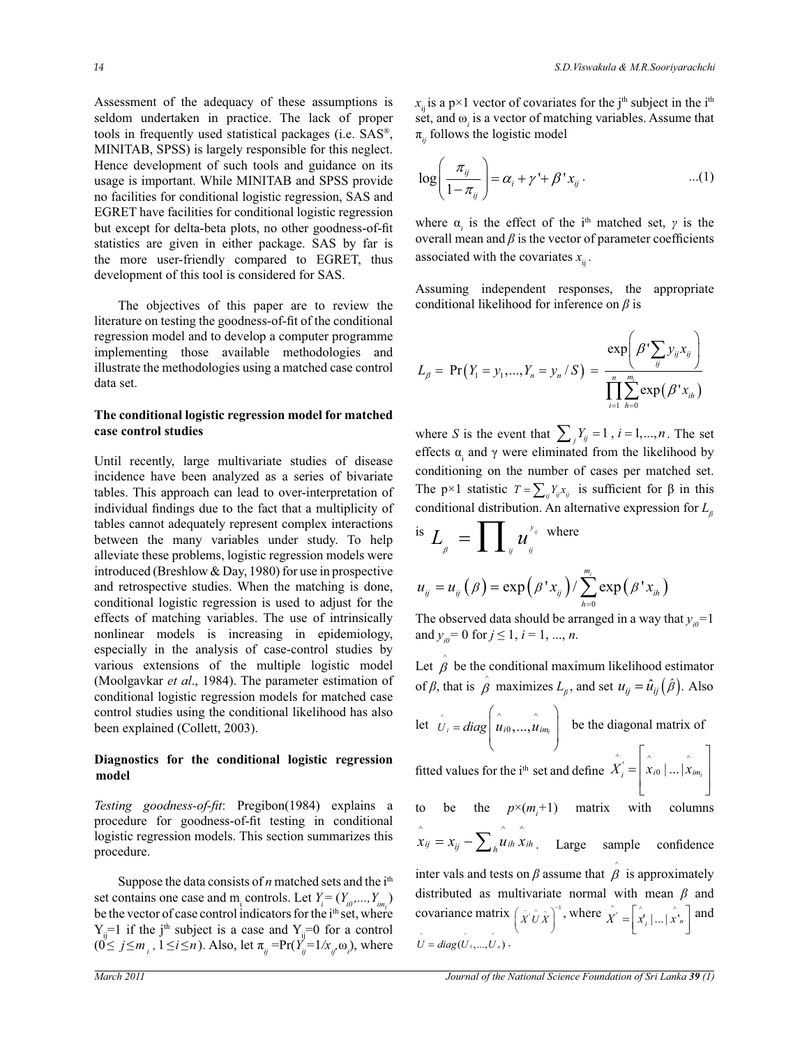Assessment of the adequacy of these assumptions is seldom undertaken in practice. The lack of proper tools in frequently used statistical packages (i.e. SAS® , MINITAB, SPSS) is largely responsible for this neglect. Hence development of such tools and guidance on its usage is important. While MINITAB and SPSS provide no facilities for conditional logistic regression, SAS and EGRET have facilities for conditional logistic regression but except for delta-beta plots, no other goodness-of-fit statistics are given in either package. SAS by far is the more user-friendly compared to EGRET, thus development of this tool is considered for SAS.

 The objectives of this paper are to review the literature on testing the goodness-of-fit of the conditional regression model and to develop a computer programme implementing those available methodologies and illustrate the methodologies using a matched case control data set.

# **The conditional logistic regression model for matched case control studies**

Until recently, large multivariate studies of disease incidence have been analyzed as a series of bivariate tables. This approach can lead to over-interpretation of individual findings due to the fact that a multiplicity of tables cannot adequately represent complex interactions between the many variables under study. To help alleviate these problems, logistic regression models were introduced (Breshlow & Day, 1980) for use in prospective and retrospective studies. When the matching is done, conditional logistic regression is used to adjust for the effects of matching variables. The use of intrinsically nonlinear models is increasing in epidemiology, especially in the analysis of case-control studies by various extensions of the multiple logistic model (Moolgavkar *et al*., 1984). The parameter estimation of conditional logistic regression models for matched case control studies using the conditional likelihood has also been explained (Collett, 2003).

# **Diagnostics for the conditional logistic regression model**

*Testing goodness-of-fit*: Pregibon(1984) explains a procedure for goodness-of-fit testing in conditional logistic regression models. This section summarizes this procedure.

Suppose the data consists of *n* matched sets and the i<sup>th</sup> set contains one case and m<sub>i</sub> controls. Let  $Y_i = (Y_{i0},..., Y_{i m_i})$ be the vector of case control indicators for the i<sup>th</sup> set, where  $Y_{ii}$ =1 if the j<sup>th</sup> subject is a case and  $Y_{ii}$ =0 for a control  $(0 \le j \le m_i, 1 \le i \le n)$ . Also, let  $\pi_{ij} = Pr(Y_{ij} = 1 / x_{ij}, \omega_i)$ , where  $x_{ii}$  is a p×1 vector of covariates for the j<sup>th</sup> subject in the i<sup>th</sup> set, and  $\omega$ <sub>i</sub> is a vector of matching variables. Assume that  $\pi_{ij}$  follows the logistic model

$$
\log\left(\frac{\pi_{ij}}{1-\pi_{ij}}\right) = \alpha_i + \gamma' + \beta' x_{ij} \,. \tag{1}
$$

where  $\alpha_i$  is the effect of the i<sup>th</sup> matched set,  $\gamma$  is the overall mean and  $\beta$  is the vector of parameter coefficients associated with the covariates  $x_{ij}$ .

Assuming independent responses, the appropriate conditional likelihood for inference on *β* is

$$
L_{\beta} = \Pr(Y_1 = y_1, ..., Y_n = y_n / S) = \frac{\exp\left(\beta' \sum_{ij} y_{ij} x_{ij}\right)}{\prod_{i=1}^n \sum_{h=0}^{m_i} \exp(\beta' x_{ih})}
$$

where *S* is the event that  $\sum_{j} Y_{ij} = 1$ ,  $i = 1,...,n$ . The set effects  $\alpha_i$  and  $\gamma$  were eliminated from the likelihood by conditioning on the number of cases per matched set. The p×1 statistic  $T = \sum_{ij} Y_{ij} x_{ij}$  is sufficient for  $\beta$  in this conditional distribution. An alternative expression for *L<sup>β</sup>*

is 
$$
L_{\beta} = \prod_{y} u_{y}^{y_{y}}
$$
 where  

$$
u_{y} = u_{y}(\beta) = \exp(\beta' x_{y}) / \sum_{h=0}^{m_{y}} \exp(\beta' x_{ih})
$$

The observed data should be arranged in a way that  $y_{i0}=1$ and  $y_{i0} = 0$  for  $j \le 1$ ,  $i = 1, ..., n$ .

Let 
$$
\hat{\beta}
$$
 be the conditional maximum likelihood estimator  
of  $\beta$ , that is  $\hat{\beta}$  maximizes  $L_{\beta}$ , and set  $u_{ij} = \hat{u}_{ij}(\hat{\beta})$ . Also

let 
$$
\hat{U}_i = diag\left(\hat{u}_{i0},...,\hat{u}_{im_i}\right)
$$
 be the diagonal matrix of

.<br>or fitted values for the i<sup>th</sup> set and define  $\overset{\wedge}{X^{\cdot}_i} = \begin{vmatrix} \overset{\wedge}{x} & \overset{\wedge}{x} \ \overset{\wedge}{x}_{i0} & \ldots & \overset{\wedge}{x}_{im_i} \end{vmatrix}$  $=\left| x_{i0} \right| \dots \left| x_{im_i} \right|$ 

inter vals and tests on  $\beta$  assume that  $\hat{\beta}$  is approximately 3 4 5 6 covariance matrix  $(\tilde{X} \cdot \hat{U} \tilde{X})^{-1}$ , where  $\hat{X}' = [\hat{x}_i | ... | \hat{x}_m]$  and to be the  $p\times(m+1)$  matrix with columns  $\hat{x}_{ij} = x_{ij} - \sum_{h} \hat{u}_{ih} \hat{x}_{ih}$ . Large sample confidence distributed as multivariate normal with mean *β* and  $U = diag(U_1, ..., U_n)$ .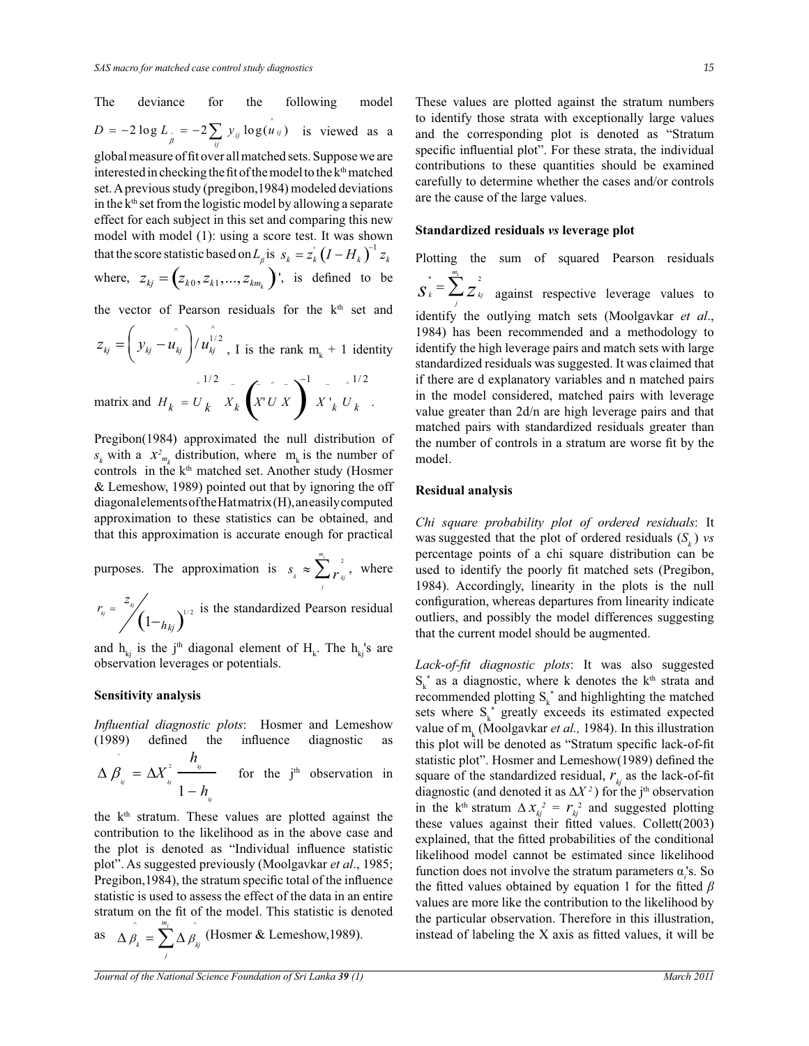The deviance for the following model  
\n
$$
D = -2 \log L_{\hat{\beta}} = -2 \sum_{ij} y_{ij} \log(u_{ij})
$$
 is viewed as a

- set. A previous study (pregibon,1984) modeled deviations global measure of fit over all matched sets. Suppose we are interested in checking the fit of the model to the k<sup>th</sup> matched in the  $k<sup>th</sup>$  set from the logistic model by allowing a separate effect for each subject in this set and comparing this new model with model (1): using a score test. It was shown that the score statistic based on  $L_{\beta}$  is  $s_k = z_k (I - H_k)^{-1} z_k$ where,  $z_{kj} = (z_{k0}, z_{k1}, ..., z_{km})$ , is defined to be

the vector of Pearson residuals for the k<sup>th</sup> set and

$$
z_{kj} = \left(y_{kj} - u_{kj}\right) / u_{kj}^{1/2}, \text{ I is the rank } m_{k} + 1 \text{ identity}
$$

matrix and  $H_k = U_k^{\frac{1}{2}} X_k^{\frac{1}{2}} \left( \sum_{k=0}^{N} X_k^{\frac{1}{2}} \right)^{-1} X_{-k}^{\frac{1}{2}} U_k^{\frac{1}{2}}$  $H_k = U_k \, X_k \, \left( X^t U X \right) \, X^t{}_k \, U_k$ −  $= U_k$   $X_k$   $X U X$   $X'_{k} U_{k}$ .

Pregibon(1984) approximated the null distribution of  $s_k$  with a  $x_{m_k}^2$  distribution, where  $m_k$  is the number of controls in the k<sup>th</sup> matched set. Another study (Hosmer & Lemeshow, 1989) pointed out that by ignoring the off diagonal elements of the Hat matrix (H), an easily computed approximation to these statistics can be obtained, and that this approximation is accurate enough for practical

purposes. The approximation is  $s_i \approx \sum_{k=1}^{m_i} s_k^2$  $s_k \approx \sum_{r_{kj}}^2$ , where *j*

 $\left(1 - h_{ki}\right)^{1/2}$  $\int_{k_j}^{k_j} = \int_{k_j}^{k_j} \left(1 - h_{kj}\right)$  $r_{\rm{v}} = \frac{z_{\rm{v}}}{\sqrt{1 - (1 - \frac{z_{\rm{v}}}{\sqrt{1 - (1 - \frac{z_{\rm{v}}}{\sqrt{1 - (1 - \frac{z_{\rm{v}}}{\sqrt{1 - (1 - \frac{z_{\rm{v}}}{\sqrt{1 - (1 - \frac{z_{\rm{v}}}{\sqrt{1 - (1 - \frac{z_{\rm{v}}}{\sqrt{1 - (1 - \frac{z_{\rm{v}}}{\sqrt{1 - (1 - \frac{z_{\rm{v}}}{\sqrt{1 - (1 - \frac{z_{\rm{v}}}{\sqrt{1 - (1 - \frac{z_{\rm{v}}}{\sqrt{1 - (1 - \frac{$ is the standardized Pearson residual

and  $h_{kj}$  is the j<sup>th</sup> diagonal element of  $H_k$ . The  $h_{kj}$ 's are observation leverages or potentials.

# **Sensitivity analysis**

*Influential diagnostic plots*: Hosmer and Lemeshow (1989) defined the influence diagnostic as

$$
\Delta \hat{\beta}_{W} = \Delta X_{W}^{2} \frac{h_{W}}{1-h_{W}}
$$
 for the j<sup>th</sup> observation in

the  $k<sup>th</sup>$  stratum. These values are plotted against the contribution to the likelihood as in the above case and the plot is denoted as "Individual influence statistic plot". As suggested previously (Moolgavkar *et al*., 1985; Pregibon,1984), the stratum specific total of the influence statistic is used to assess the effect of the data in an entire stratum on the fit of the model. This statistic is denoted

as 
$$
\Delta \hat{\beta}_k = \sum_{j}^{m_j} \Delta \hat{\beta}_{kj}
$$
 (Hosmer & Lemeshow,1989).

*Journal of the National Science Foundation of Sri Lanka 39 (1)* March 2011

These values are plotted against the stratum numbers to identify those strata with exceptionally large values and the corresponding plot is denoted as "Stratum specific influential plot". For these strata, the individual contributions to these quantities should be examined carefully to determine whether the cases and/or controls are the cause of the large values.

# **Standardized residuals** *vs* **leverage plot**

Plotting the sum of squared Pearson residuals \*  $\sum_{i=1}^{m_i}$  2

 $\int_{s}^{x} = \sum_{j}^{2} Z_{kj}^{2}$  against respective leverage values to identify the outlying match sets (Moolgavkar *et al*., 1984) has been recommended and a methodology to identify the high leverage pairs and match sets with large standardized residuals was suggested. It was claimed that if there are d explanatory variables and n matched pairs in the model considered, matched pairs with leverage value greater than 2d/n are high leverage pairs and that matched pairs with standardized residuals greater than the number of controls in a stratum are worse fit by the model.

#### **Residual analysis**

*Chi square probability plot of ordered residuals*: It was suggested that the plot of ordered residuals (*S<sup>k</sup>* ) *vs* percentage points of a chi square distribution can be used to identify the poorly fit matched sets (Pregibon, 1984). Accordingly, linearity in the plots is the null configuration, whereas departures from linearity indicate outliers, and possibly the model differences suggesting that the current model should be augmented.

*Lack-of-fit diagnostic plots*: It was also suggested  $S_k^*$  as a diagnostic, where k denotes the k<sup>th</sup> strata and recommended plotting  $S_k^*$  and highlighting the matched sets where  $S_k^*$  greatly exceeds its estimated expected value of m<sub>k</sub> (Moolgavkar *et al.,* 1984). In this illustration this plot will be denoted as "Stratum specific lack-of-fit statistic plot". Hosmer and Lemeshow(1989) defined the square of the standardized residual,  $r_{\scriptscriptstyle k}$  as the lack-of-fit diagnostic (and denoted it as Δ*X*<sup>2</sup>) for the j<sup>th</sup> observation in the k<sup>th</sup> stratum  $\Delta x_{kj}^2 = r_{kj}^2$  and suggested plotting these values against their fitted values. Collett(2003) explained, that the fitted probabilities of the conditional likelihood model cannot be estimated since likelihood function does not involve the stratum parameters α*<sup>i</sup>* 's. So the fitted values obtained by equation 1 for the fitted *β* values are more like the contribution to the likelihood by the particular observation. Therefore in this illustration, instead of labeling the X axis as fitted values, it will be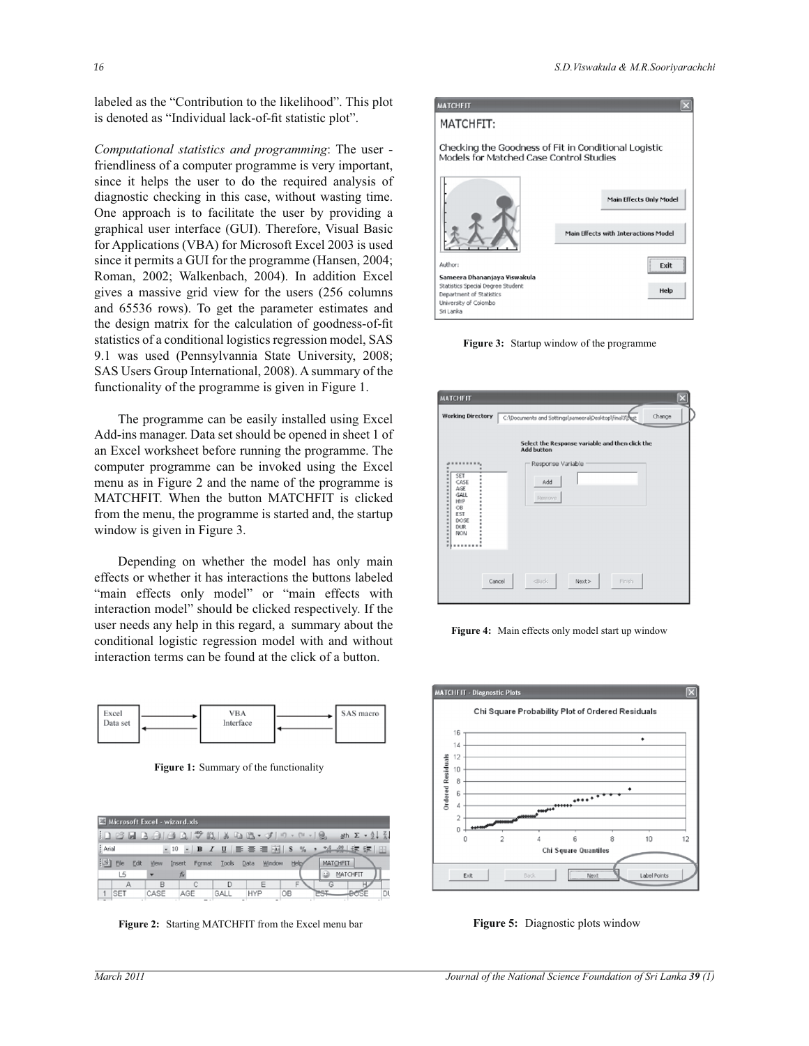labeled as the "Contribution to the likelihood". This plot is denoted as "Individual lack-of-fit statistic plot".

*Computational statistics and programming*: The user friendliness of a computer programme is very important, since it helps the user to do the required analysis of diagnostic checking in this case, without wasting time. One approach is to facilitate the user by providing a graphical user interface (GUI). Therefore, Visual Basic for Applications (VBA) for Microsoft Excel 2003 is used since it permits a GUI for the programme (Hansen, 2004; Roman, 2002; Walkenbach, 2004). In addition Excel gives a massive grid view for the users (256 columns and 65536 rows). To get the parameter estimates and the design matrix for the calculation of goodness-of-fit statistics of a conditional logistics regression model, SAS 9.1 was used (Pennsylvannia State University, 2008; SAS Users Group International, 2008). A summary of the functionality of the programme is given in Figure 1.

 The programme can be easily installed using Excel Add-ins manager. Data set should be opened in sheet 1 of an Excel worksheet before running the programme. The computer programme can be invoked using the Excel menu as in Figure 2 and the name of the programme is MATCHFIT. When the button MATCHFIT is clicked from the menu, the programme is started and, the startup window is given in Figure 3.

 Depending on whether the model has only main effects or whether it has interactions the buttons labeled "main effects only model" or "main effects with interaction model" should be clicked respectively. If the user needs any help in this regard, a summary about the conditional logistic regression model with and without interaction terms can be found at the click of a button.



**Figure 1:** Summary of the functionality

|         | Microsoft Excel - wizard.xls |      |                          |      |                                                       |       |          |                                                  |    |
|---------|------------------------------|------|--------------------------|------|-------------------------------------------------------|-------|----------|--------------------------------------------------|----|
|         |                              |      |                          |      | <b>in B B B B B B サ N &amp; 4 B + J   7 - 0 - 19.</b> |       |          | ath $\Sigma$ $\cdot$ $\frac{1}{2}$ $\frac{2}{A}$ |    |
| : Arial |                              |      |                          |      |                                                       |       |          |                                                  | 83 |
| 图       | File<br>Edit                 | View | Insert Format Tools Data |      | Window.                                               | Help/ | MATCHEIT |                                                  |    |
|         | L5                           |      | ħ.                       |      |                                                       |       | $\omega$ | MATCHFIT                                         |    |
|         |                              | R    |                          |      |                                                       | F     |          |                                                  |    |
|         | <b>SET</b>                   | CASE | AGE                      | GALI | HYP                                                   | OB    |          |                                                  | D  |

**Figure 2:** Starting MATCHFIT from the Excel menu bar



**Figure 3:** Startup window of the programme

| <b>MATCHEIT</b><br><b>Working Directory</b>                                                                                        | Change<br>C:\Documents and Settings\sameera\Desktop\final3\fust      |
|------------------------------------------------------------------------------------------------------------------------------------|----------------------------------------------------------------------|
|                                                                                                                                    | Select the Response variable and then click the<br><b>Add button</b> |
| SET<br>۰<br>٠<br>CASE<br>٠<br><br>AGE<br>GALL<br>HYP<br>OB.<br><b>EST</b><br>DOSE<br><b>DUR</b><br>NON.<br>$\blacksquare$<br>٠<br> | Response Variable<br>Add<br>Remove                                   |
| Cancel                                                                                                                             | <back<br>Finish.<br/>Next&gt;</back<br>                              |

**Figure 4:** Main effects only model start up window



**Figure 5:** Diagnostic plots window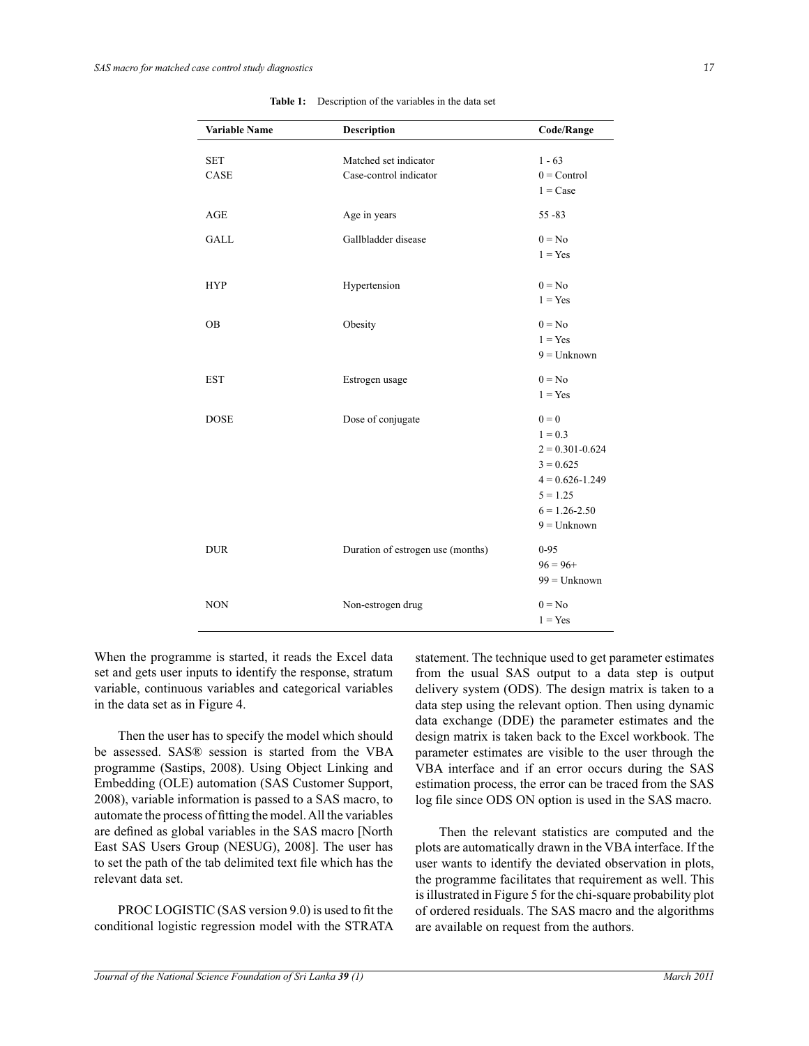| Variable Name | Description                       | Code/Range          |
|---------------|-----------------------------------|---------------------|
| <b>SET</b>    | Matched set indicator             | $1 - 63$            |
| CASE          | Case-control indicator            | $0 =$ Control       |
|               |                                   | $1 = \text{Case}$   |
|               |                                   |                     |
| <b>AGE</b>    | Age in years                      | $55 - 83$           |
| <b>GALL</b>   | Gallbladder disease               | $0 = No$            |
|               |                                   | $1 = Yes$           |
| <b>HYP</b>    | Hypertension                      | $0 = No$            |
|               |                                   | $1 = Yes$           |
| <b>OB</b>     | Obesity                           | $0 = No$            |
|               |                                   | $1 = Yes$           |
|               |                                   | $9 =$ Unknown       |
| <b>EST</b>    | Estrogen usage                    | $0 = No$            |
|               |                                   | $1 = Yes$           |
| <b>DOSE</b>   | Dose of conjugate                 | $0 = 0$             |
|               |                                   | $1 = 0.3$           |
|               |                                   | $2 = 0.301 - 0.624$ |
|               |                                   | $3 = 0.625$         |
|               |                                   | $4 = 0.626 - 1.249$ |
|               |                                   | $5 = 1.25$          |
|               |                                   | $6 = 1.26 - 2.50$   |
|               |                                   | $9 =$ Unknown       |
| <b>DUR</b>    | Duration of estrogen use (months) | $0 - 95$            |
|               |                                   | $96 = 96+$          |
|               |                                   | $99 =$ Unknown      |
| <b>NON</b>    | Non-estrogen drug                 | $0 = No$            |
|               |                                   | $1 = Yes$           |

**Table 1:** Description of the variables in the data set

When the programme is started, it reads the Excel data set and gets user inputs to identify the response, stratum variable, continuous variables and categorical variables in the data set as in Figure 4.

 Then the user has to specify the model which should be assessed. SAS® session is started from the VBA programme (Sastips, 2008). Using Object Linking and Embedding (OLE) automation (SAS Customer Support, 2008), variable information is passed to a SAS macro, to automate the process of fitting the model. All the variables are defined as global variables in the SAS macro [North East SAS Users Group (NESUG), 2008]. The user has to set the path of the tab delimited text file which has the relevant data set.

PROC LOGISTIC (SAS version 9.0) is used to fit the conditional logistic regression model with the STRATA statement. The technique used to get parameter estimates from the usual SAS output to a data step is output delivery system (ODS). The design matrix is taken to a data step using the relevant option. Then using dynamic data exchange (DDE) the parameter estimates and the design matrix is taken back to the Excel workbook. The parameter estimates are visible to the user through the VBA interface and if an error occurs during the SAS estimation process, the error can be traced from the SAS log file since ODS ON option is used in the SAS macro.

 Then the relevant statistics are computed and the plots are automatically drawn in the VBA interface. If the user wants to identify the deviated observation in plots, the programme facilitates that requirement as well. This is illustrated in Figure 5 for the chi-square probability plot of ordered residuals. The SAS macro and the algorithms are available on request from the authors.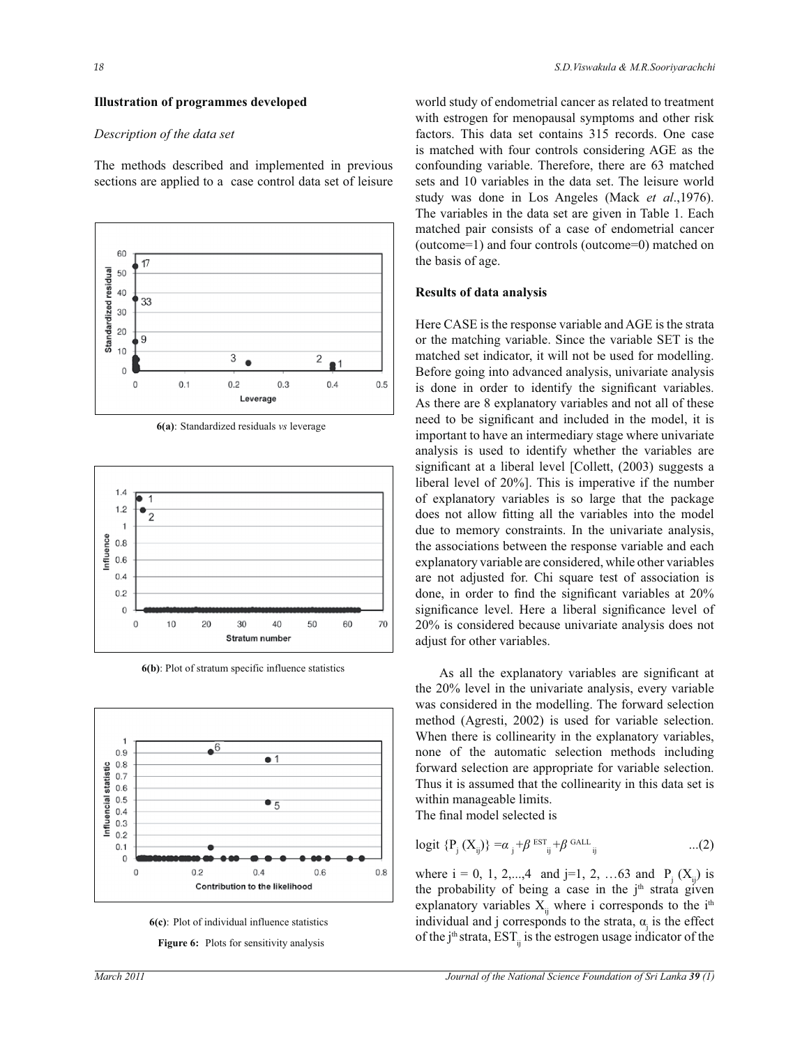#### **Illustration of programmes developed**

#### *Description of the data set*

The methods described and implemented in previous sections are applied to a case control data set of leisure







**6(b)**: Plot of stratum specific influence statistics





**Figure 6:** Plots for sensitivity analysis

world study of endometrial cancer as related to treatment with estrogen for menopausal symptoms and other risk factors. This data set contains 315 records. One case is matched with four controls considering AGE as the confounding variable. Therefore, there are 63 matched sets and 10 variables in the data set. The leisure world study was done in Los Angeles (Mack *et al*.,1976). The variables in the data set are given in Table 1. Each matched pair consists of a case of endometrial cancer (outcome=1) and four controls (outcome=0) matched on the basis of age.

#### **Results of data analysis**

Here CASE is the response variable and AGE is the strata or the matching variable. Since the variable SET is the matched set indicator, it will not be used for modelling. Before going into advanced analysis, univariate analysis is done in order to identify the significant variables. As there are 8 explanatory variables and not all of these need to be significant and included in the model, it is important to have an intermediary stage where univariate analysis is used to identify whether the variables are significant at a liberal level [Collett, (2003) suggests a liberal level of 20%]. This is imperative if the number of explanatory variables is so large that the package does not allow fitting all the variables into the model due to memory constraints. In the univariate analysis, the associations between the response variable and each explanatory variable are considered, while other variables are not adjusted for. Chi square test of association is done, in order to find the significant variables at 20% significance level. Here a liberal significance level of 20% is considered because univariate analysis does not adjust for other variables.

As all the explanatory variables are significant at the 20% level in the univariate analysis, every variable was considered in the modelling. The forward selection method (Agresti, 2002) is used for variable selection. When there is collinearity in the explanatory variables, none of the automatic selection methods including forward selection are appropriate for variable selection. Thus it is assumed that the collinearity in this data set is within manageable limits.

The final model selected is

$$
logit \{P_j(X_{ij})\} = \alpha_j + \beta^{EST} + \beta^{GALL}_{ij} \qquad ...(2)
$$

where  $i = 0, 1, 2,...,4$  and  $j=1, 2, ...63$  and  $P_j(X_{ij})$  is the probability of being a case in the  $j<sup>th</sup>$  strata given explanatory variables  $X_{ii}$  where i corresponds to the i<sup>th</sup> individual and j corresponds to the strata,  $\alpha_j$  is the effect of the  $j<sup>th</sup>$  strata, EST<sub>ii</sub> is the estrogen usage indicator of the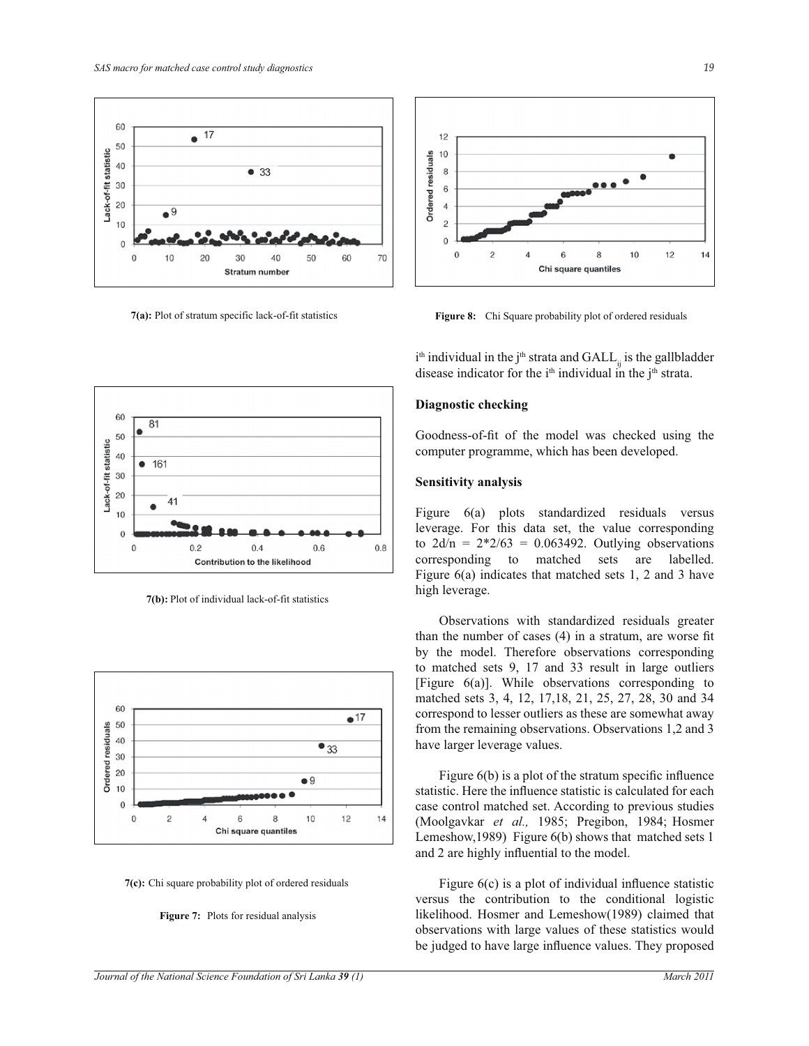

**7(a):** Plot of stratum specific lack-of-fit statistics



**Figure 8:** Chi Square probability plot of ordered residuals

 $i<sup>th</sup>$  individual in the  $j<sup>th</sup>$  strata and  $GALL_{ij}$  is the gallbladder disease indicator for the  $i<sup>th</sup>$  individual in the  $j<sup>th</sup>$  strata.

## **Diagnostic checking**

Goodness-of-fit of the model was checked using the computer programme, which has been developed.

## **Sensitivity analysis**

Figure 6(a) plots standardized residuals versus leverage. For this data set, the value corresponding to  $2d/n = 2 \cdot 2/63 = 0.063492$ . Outlying observations corresponding to matched sets are labelled. Figure 6(a) indicates that matched sets 1, 2 and 3 have high leverage.

 Observations with standardized residuals greater than the number of cases (4) in a stratum, are worse fit by the model. Therefore observations corresponding to matched sets 9, 17 and 33 result in large outliers [Figure 6(a)]. While observations corresponding to matched sets 3, 4, 12, 17,18, 21, 25, 27, 28, 30 and 34 correspond to lesser outliers as these are somewhat away from the remaining observations. Observations 1,2 and 3 have larger leverage values.

 Figure 6(b) is a plot of the stratum specific influence statistic. Here the influence statistic is calculated for each case control matched set. According to previous studies (Moolgavkar *et al.,* 1985; Pregibon, 1984; Hosmer Lemeshow,1989) Figure 6(b) shows that matched sets 1 and 2 are highly influential to the model.

 Figure 6(c) is a plot of individual influence statistic versus the contribution to the conditional logistic likelihood. Hosmer and Lemeshow(1989) claimed that observations with large values of these statistics would be judged to have large influence values. They proposed



**7(b):** Plot of individual lack-of-fit statistics



**7(c):** Chi square probability plot of ordered residuals

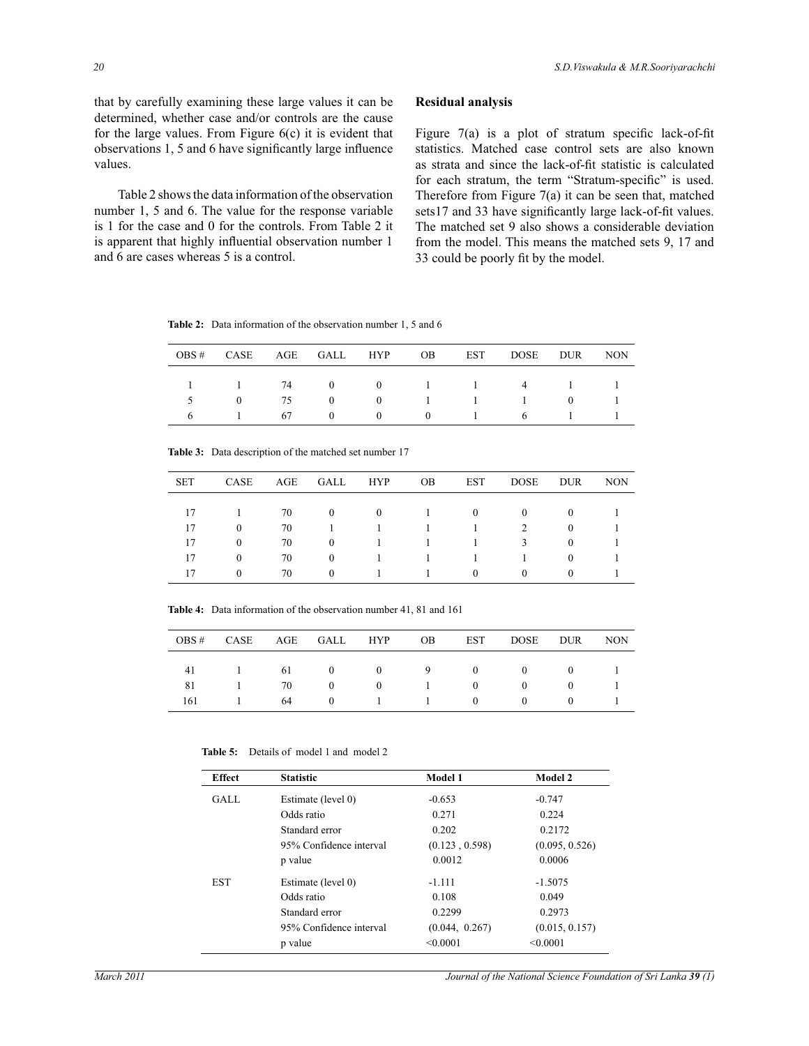that by carefully examining these large values it can be determined, whether case and/or controls are the cause for the large values. From Figure 6(c) it is evident that observations 1, 5 and 6 have significantly large influence values.

 Table 2 shows the data information of the observation number 1, 5 and 6. The value for the response variable is 1 for the case and 0 for the controls. From Table 2 it is apparent that highly influential observation number 1 and 6 are cases whereas 5 is a control.

# **Residual analysis**

Figure 7(a) is a plot of stratum specific lack-of-fit statistics. Matched case control sets are also known as strata and since the lack-of-fit statistic is calculated for each stratum, the term "Stratum-specific" is used. Therefore from Figure 7(a) it can be seen that, matched sets17 and 33 have significantly large lack-of-fit values. The matched set 9 also shows a considerable deviation from the model. This means the matched sets 9, 17 and 33 could be poorly fit by the model.

**Table 2:** Data information of the observation number 1, 5 and 6

|          |    |                |          |                                        | OBS# CASE AGE GALL HYP OB EST DOSE DUR NON |  |
|----------|----|----------------|----------|----------------------------------------|--------------------------------------------|--|
|          |    |                |          |                                        | 1 1 74 0 0 1 1 4 1 1                       |  |
| $\theta$ | 75 |                |          |                                        | $0 \qquad 0 \qquad 1 \qquad 1 \qquad 1$    |  |
|          | 67 | $\overline{0}$ | $\sim$ 0 | $\begin{array}{ccc} 0 & 1 \end{array}$ | 6 1                                        |  |

**Table 3:** Data description of the matched set number 17

| SET | CASE     | AGE | GALL     | <b>HYP</b> | <b>OB</b> | EST      | DOSE     | <b>DUR</b> | <b>NON</b> |
|-----|----------|-----|----------|------------|-----------|----------|----------|------------|------------|
| 17  |          | 70  | $\theta$ | $\Omega$   |           | $\theta$ | $\theta$ | $\theta$   |            |
| 17  | $\Omega$ | 70  |          |            |           | 1        | 2        | $\Omega$   |            |
| 17  | $\Omega$ | 70  | $\theta$ |            |           |          | 3        | $\Omega$   |            |
| 17  | $\Omega$ | 70  | $\theta$ |            |           |          |          | $\theta$   |            |
| 17  | $\Omega$ | 70  | $\theta$ |            |           | $\theta$ | $\Omega$ | $\Omega$   |            |

**Table 4:** Data information of the observation number 41, 81 and 161

|     |    |              |                                | OBS# CASE AGE GALL HYP OB EST DOSE DUR NON |  |
|-----|----|--------------|--------------------------------|--------------------------------------------|--|
|     |    |              |                                |                                            |  |
|     |    |              |                                | 41 1 61 0 0 9 0 0 0                        |  |
| 81  | 70 |              | $0 \qquad 0 \qquad 1 \qquad 0$ | $\overline{0}$                             |  |
| 161 |    | 64 0 1 1 0 0 |                                |                                            |  |
|     |    |              |                                |                                            |  |

Table 5: Details of model 1 and model 2

| <b>Effect</b> | <b>Statistic</b>        | Model 1        | Model 2        |
|---------------|-------------------------|----------------|----------------|
| GALL          | Estimate (level 0)      | $-0.653$       | $-0.747$       |
|               | Odds ratio              | 0.271          | 0.224          |
|               | Standard error          | 0.202          | 0.2172         |
|               | 95% Confidence interval | (0.123, 0.598) | (0.095, 0.526) |
|               | p value                 | 0.0012         | 0.0006         |
| <b>EST</b>    | Estimate (level 0)      | $-1.111$       | $-1.5075$      |
|               | Odds ratio              | 0.108          | 0.049          |
|               | Standard error          | 0.2299         | 0.2973         |
|               | 95% Confidence interval | (0.044, 0.267) | (0.015, 0.157) |
|               | p value                 | < 0.0001       | < 0.0001       |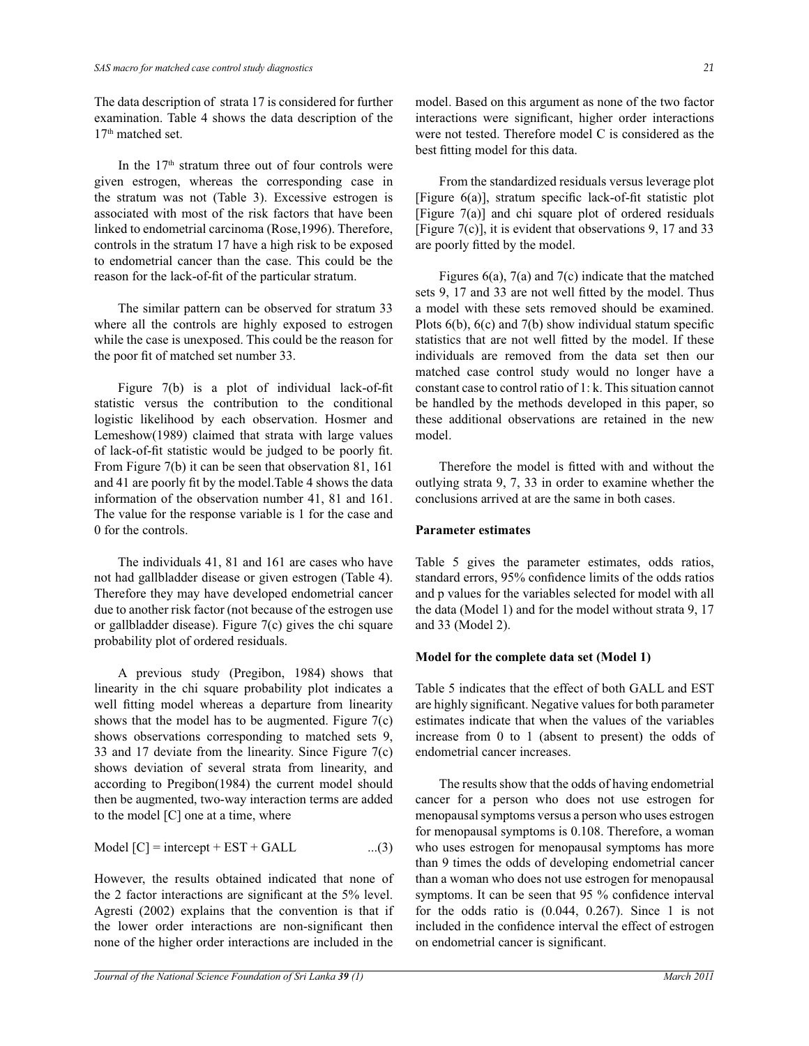The data description of strata 17 is considered for further examination. Table 4 shows the data description of the 17<sup>th</sup> matched set.

In the 17<sup>th</sup> stratum three out of four controls were given estrogen, whereas the corresponding case in the stratum was not (Table 3). Excessive estrogen is associated with most of the risk factors that have been linked to endometrial carcinoma (Rose,1996). Therefore, controls in the stratum 17 have a high risk to be exposed to endometrial cancer than the case. This could be the reason for the lack-of-fit of the particular stratum.

 The similar pattern can be observed for stratum 33 where all the controls are highly exposed to estrogen while the case is unexposed. This could be the reason for the poor fit of matched set number 33.

 Figure 7(b) is a plot of individual lack-of-fit statistic versus the contribution to the conditional logistic likelihood by each observation. Hosmer and Lemeshow(1989) claimed that strata with large values of lack-of-fit statistic would be judged to be poorly fit. From Figure 7(b) it can be seen that observation 81, 161 and 41 are poorly fit by the model.Table 4 shows the data information of the observation number 41, 81 and 161. The value for the response variable is 1 for the case and 0 for the controls.

 The individuals 41, 81 and 161 are cases who have not had gallbladder disease or given estrogen (Table 4). Therefore they may have developed endometrial cancer due to another risk factor (not because of the estrogen use or gallbladder disease). Figure 7(c) gives the chi square probability plot of ordered residuals.

 A previous study (Pregibon, 1984) shows that linearity in the chi square probability plot indicates a well fitting model whereas a departure from linearity shows that the model has to be augmented. Figure  $7(c)$ shows observations corresponding to matched sets 9, 33 and 17 deviate from the linearity. Since Figure 7(c) shows deviation of several strata from linearity, and according to Pregibon(1984) the current model should then be augmented, two-way interaction terms are added to the model [C] one at a time, where

$$
Model [C] = intercept + EST + GALL \qquad ...(3)
$$

However, the results obtained indicated that none of the 2 factor interactions are significant at the 5% level. Agresti (2002) explains that the convention is that if the lower order interactions are non-significant then none of the higher order interactions are included in the

model. Based on this argument as none of the two factor interactions were significant, higher order interactions were not tested. Therefore model C is considered as the best fitting model for this data.

 From the standardized residuals versus leverage plot [Figure 6(a)], stratum specific lack-of-fit statistic plot [Figure 7(a)] and chi square plot of ordered residuals [Figure 7(c)], it is evident that observations 9, 17 and 33 are poorly fitted by the model.

Figures  $6(a)$ ,  $7(a)$  and  $7(c)$  indicate that the matched sets 9, 17 and 33 are not well fitted by the model. Thus a model with these sets removed should be examined. Plots 6(b), 6(c) and 7(b) show individual statum specific statistics that are not well fitted by the model. If these individuals are removed from the data set then our matched case control study would no longer have a constant case to control ratio of 1: k. This situation cannot be handled by the methods developed in this paper, so these additional observations are retained in the new model.

 Therefore the model is fitted with and without the outlying strata 9, 7, 33 in order to examine whether the conclusions arrived at are the same in both cases.

# **Parameter estimates**

Table 5 gives the parameter estimates, odds ratios, standard errors, 95% confidence limits of the odds ratios and p values for the variables selected for model with all the data (Model 1) and for the model without strata 9, 17 and 33 (Model 2).

# **Model for the complete data set (Model 1)**

Table 5 indicates that the effect of both GALL and EST are highly significant. Negative values for both parameter estimates indicate that when the values of the variables increase from 0 to 1 (absent to present) the odds of endometrial cancer increases.

 The results show that the odds of having endometrial cancer for a person who does not use estrogen for menopausal symptoms versus a person who uses estrogen for menopausal symptoms is 0.108. Therefore, a woman who uses estrogen for menopausal symptoms has more than 9 times the odds of developing endometrial cancer than a woman who does not use estrogen for menopausal symptoms. It can be seen that 95 % confidence interval for the odds ratio is  $(0.044, 0.267)$ . Since 1 is not included in the confidence interval the effect of estrogen on endometrial cancer is significant.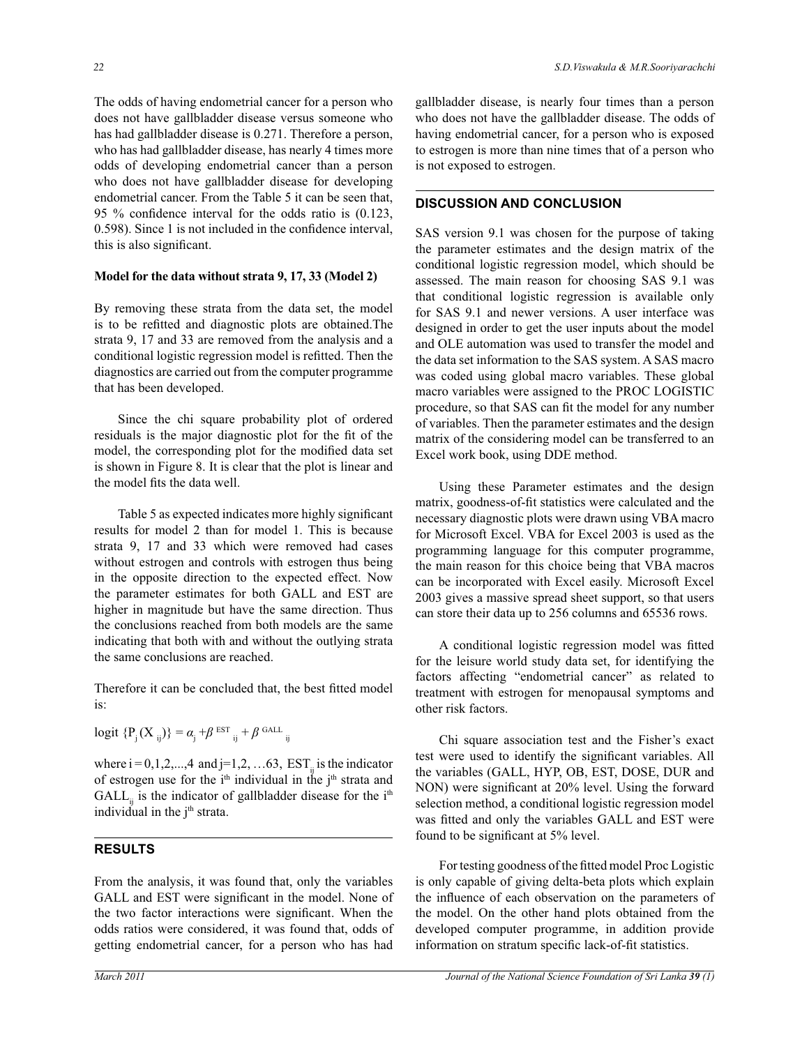The odds of having endometrial cancer for a person who does not have gallbladder disease versus someone who has had gallbladder disease is 0.271. Therefore a person, who has had gallbladder disease, has nearly 4 times more odds of developing endometrial cancer than a person who does not have gallbladder disease for developing endometrial cancer. From the Table 5 it can be seen that, 95 % confidence interval for the odds ratio is (0.123, 0.598). Since 1 is not included in the confidence interval, this is also significant.

## **Model for the data without strata 9, 17, 33 (Model 2)**

By removing these strata from the data set, the model is to be refitted and diagnostic plots are obtained.The strata 9, 17 and 33 are removed from the analysis and a conditional logistic regression model is refitted. Then the diagnostics are carried out from the computer programme that has been developed.

 Since the chi square probability plot of ordered residuals is the major diagnostic plot for the fit of the model, the corresponding plot for the modified data set is shown in Figure 8. It is clear that the plot is linear and the model fits the data well.

 Table 5 as expected indicates more highly significant results for model 2 than for model 1. This is because strata 9, 17 and 33 which were removed had cases without estrogen and controls with estrogen thus being in the opposite direction to the expected effect. Now the parameter estimates for both GALL and EST are higher in magnitude but have the same direction. Thus the conclusions reached from both models are the same indicating that both with and without the outlying strata the same conclusions are reached.

Therefore it can be concluded that, the best fitted model is:

$$
logit \ \{P_j(X_{ij})\} = \alpha_j + \beta^{\text{ EST}}_{ij} + \beta^{\text{ GALL}}_{ij}
$$

where  $i = 0,1,2,...,4$  and  $j=1,2,...,63$ ,  $EST_{ii}$  is the indicator of estrogen use for the i<sup>th</sup> individual in the j<sup>th</sup> strata and  $GALL<sub>ii</sub>$  is the indicator of gallbladder disease for the i<sup>th</sup> individual in the j<sup>th</sup> strata.

# **RESULTS**

From the analysis, it was found that, only the variables GALL and EST were significant in the model. None of the two factor interactions were significant. When the odds ratios were considered, it was found that, odds of getting endometrial cancer, for a person who has had

gallbladder disease, is nearly four times than a person who does not have the gallbladder disease. The odds of having endometrial cancer, for a person who is exposed to estrogen is more than nine times that of a person who is not exposed to estrogen.

# **DISCUSSION AND CONCLUSION**

SAS version 9.1 was chosen for the purpose of taking the parameter estimates and the design matrix of the conditional logistic regression model, which should be assessed. The main reason for choosing SAS 9.1 was that conditional logistic regression is available only for SAS 9.1 and newer versions. A user interface was designed in order to get the user inputs about the model and OLE automation was used to transfer the model and the data set information to the SAS system. A SAS macro was coded using global macro variables. These global macro variables were assigned to the PROC LOGISTIC procedure, so that SAS can fit the model for any number of variables. Then the parameter estimates and the design matrix of the considering model can be transferred to an Excel work book, using DDE method.

 Using these Parameter estimates and the design matrix, goodness-of-fit statistics were calculated and the necessary diagnostic plots were drawn using VBA macro for Microsoft Excel. VBA for Excel 2003 is used as the programming language for this computer programme, the main reason for this choice being that VBA macros can be incorporated with Excel easily. Microsoft Excel 2003 gives a massive spread sheet support, so that users can store their data up to 256 columns and 65536 rows.

 A conditional logistic regression model was fitted for the leisure world study data set, for identifying the factors affecting "endometrial cancer" as related to treatment with estrogen for menopausal symptoms and other risk factors.

 Chi square association test and the Fisher's exact test were used to identify the significant variables. All the variables (GALL, HYP, OB, EST, DOSE, DUR and NON) were significant at 20% level. Using the forward selection method, a conditional logistic regression model was fitted and only the variables GALL and EST were found to be significant at 5% level.

 For testing goodness of the fitted model Proc Logistic is only capable of giving delta-beta plots which explain the influence of each observation on the parameters of the model. On the other hand plots obtained from the developed computer programme, in addition provide information on stratum specific lack-of-fit statistics.